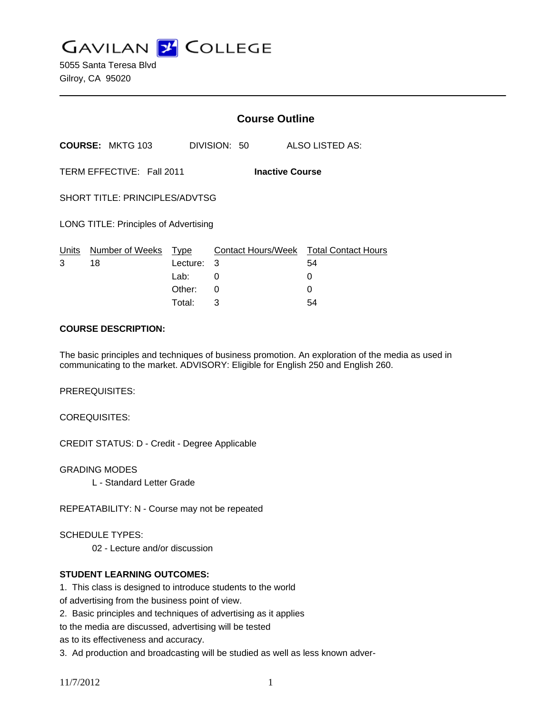**GAVILAN Z COLLEGE** 

5055 Santa Teresa Blvd Gilroy, CA 95020

|                                                     |                         | <b>Course Outline</b> |  |        |                                              |
|-----------------------------------------------------|-------------------------|-----------------------|--|--------|----------------------------------------------|
| <b>COURSE: MKTG 103</b>                             |                         | DIVISION: 50          |  |        | ALSO LISTED AS:                              |
| TERM EFFECTIVE: Fall 2011<br><b>Inactive Course</b> |                         |                       |  |        |                                              |
| SHORT TITLE: PRINCIPLES/ADVTSG                      |                         |                       |  |        |                                              |
| <b>LONG TITLE: Principles of Advertising</b>        |                         |                       |  |        |                                              |
| Units<br>3<br>18                                    | Number of Weeks<br>Type | 3<br>Lecture:         |  |        | Contact Hours/Week Total Contact Hours<br>54 |
|                                                     | Lab: __<br>Other:       | 0<br>$\Omega$         |  | 0<br>0 |                                              |
|                                                     | Total:                  | 3                     |  |        | 54                                           |

#### **COURSE DESCRIPTION:**

The basic principles and techniques of business promotion. An exploration of the media as used in communicating to the market. ADVISORY: Eligible for English 250 and English 260.

PREREQUISITES:

COREQUISITES:

CREDIT STATUS: D - Credit - Degree Applicable

GRADING MODES L - Standard Letter Grade

REPEATABILITY: N - Course may not be repeated

SCHEDULE TYPES:

02 - Lecture and/or discussion

### **STUDENT LEARNING OUTCOMES:**

1. This class is designed to introduce students to the world

of advertising from the business point of view.

2. Basic principles and techniques of advertising as it applies

to the media are discussed, advertising will be tested

as to its effectiveness and accuracy.

3. Ad production and broadcasting will be studied as well as less known adver-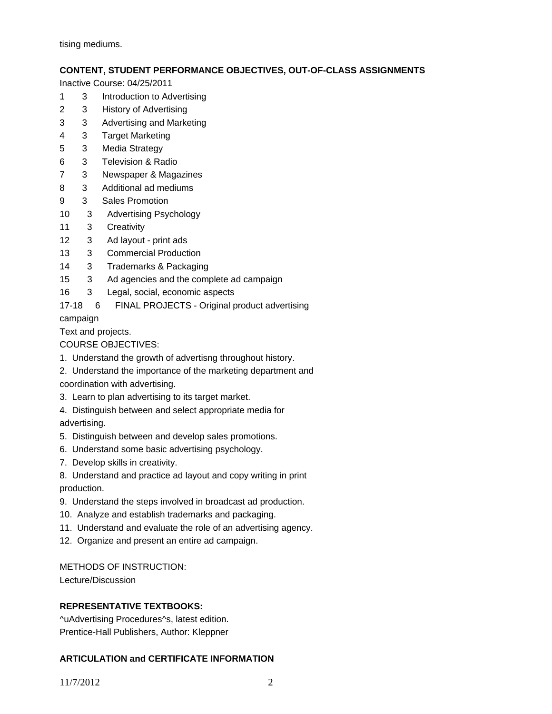tising mediums.

# **CONTENT, STUDENT PERFORMANCE OBJECTIVES, OUT-OF-CLASS ASSIGNMENTS**

Inactive Course: 04/25/2011

- 1 3 Introduction to Advertising
- 2 3 History of Advertising
- 3 3 Advertising and Marketing
- 4 3 Target Marketing
- 5 3 Media Strategy
- 6 3 Television & Radio
- 7 3 Newspaper & Magazines
- 8 3 Additional ad mediums
- 9 3 Sales Promotion
- 10 3 Advertising Psychology
- 11 3 Creativity
- 12 3 Ad layout print ads
- 13 3 Commercial Production
- 14 3 Trademarks & Packaging
- 15 3 Ad agencies and the complete ad campaign
- 16 3 Legal, social, economic aspects
- 17-18 6 FINAL PROJECTS Original product advertising

campaign

Text and projects.

COURSE OBJECTIVES:

- 1. Understand the growth of advertisng throughout history.
- 2. Understand the importance of the marketing department and
- coordination with advertising.
- 3. Learn to plan advertising to its target market.
- 4. Distinguish between and select appropriate media for advertising.
- 5. Distinguish between and develop sales promotions.
- 6. Understand some basic advertising psychology.
- 7. Develop skills in creativity.

8. Understand and practice ad layout and copy writing in print production.

- 9. Understand the steps involved in broadcast ad production.
- 10. Analyze and establish trademarks and packaging.
- 11. Understand and evaluate the role of an advertising agency.
- 12. Organize and present an entire ad campaign.

### METHODS OF INSTRUCTION:

Lecture/Discussion

# **REPRESENTATIVE TEXTBOOKS:**

^uAdvertising Procedures^s, latest edition. Prentice-Hall Publishers, Author: Kleppner

# **ARTICULATION and CERTIFICATE INFORMATION**